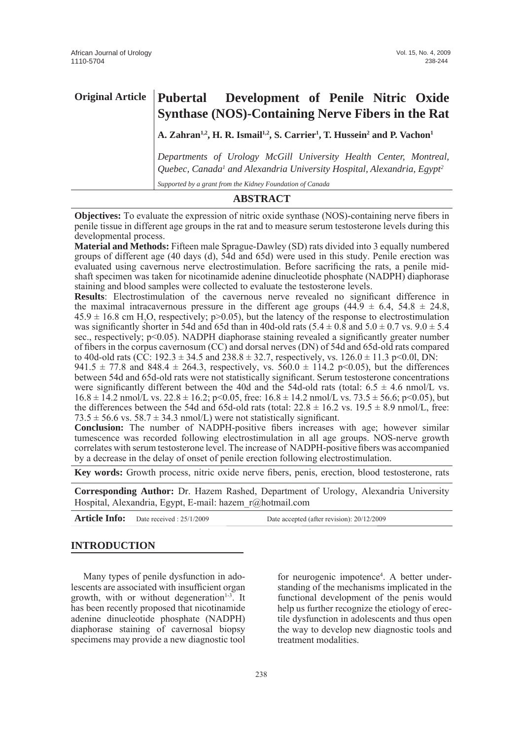| <b>Original Article</b> | Pubertal Development of Penile Nitric Oxide<br><b>Synthase (NOS)-Containing Nerve Fibers in the Rat</b>                                                                                                                          |  |  |
|-------------------------|----------------------------------------------------------------------------------------------------------------------------------------------------------------------------------------------------------------------------------|--|--|
|                         | A. Zahran <sup>1,2</sup> , H. R. Ismail <sup>1,2</sup> , S. Carrier <sup>1</sup> , T. Hussein <sup>2</sup> and P. Vachon <sup>1</sup>                                                                                            |  |  |
|                         | Departments of Urology McGill University Health Center, Montreal,<br>Quebec, Canada <sup>1</sup> and Alexandria University Hospital, Alexandria, Egypt <sup>2</sup><br>Supported by a grant from the Kidney Foundation of Canada |  |  |

# **ABSTRACT**

**Objectives:** To evaluate the expression of nitric oxide synthase (NOS)-containing nerve fibers in penile tissue in different age groups in the rat and to measure serum testosterone levels during this developmental process.

**Material and Methods:** Fifteen male Sprague-Dawley (SD) rats divided into 3 equally numbered groups of different age (40 days (d), 54d and 65d) were used in this study. Penile erection was evaluated using cavernous nerve electrostimulation. Before sacrificing the rats, a penile midshaft specimen was taken for nicotinamide adenine dinucleotide phosphate (NADPH) diaphorase staining and blood samples were collected to evaluate the testosterone levels.

**Results**: Electrostimulation of the cavernous nerve revealed no significant difference in the maximal intracavernous pressure in the different age groups  $(44.9 \pm 6.4, 54.8 \pm 24.8,$  $45.9 \pm 16.8$  cm H<sub>2</sub>O, respectively; p>0.05), but the latency of the response to electrostimulation was significantly shorter in 54d and 65d than in 40d-old rats  $(5.4 \pm 0.8 \text{ and } 5.0 \pm 0.7 \text{ vs. } 9.0 \pm 5.4 \text{)}$ sec., respectively; p<0.05). NADPH diaphorase staining revealed a significantly greater number of fibers in the corpus cavernosum (CC) and dorsal nerves (DN) of 54d and 65d-old rats compared to 40d-old rats (CC: 192.3  $\pm$  34.5 and 238.8  $\pm$  32.7, respectively, vs. 126.0  $\pm$  11.3 p<0.0l, DN:

941.5  $\pm$  77.8 and 848.4  $\pm$  264.3, respectively, vs. 560.0  $\pm$  114.2 p<0.05), but the differences between 54d and 65d-old rats were not statistically significant. Serum testosterone concentrations were significantly different between the 40d and the 54d-old rats (total:  $6.5 \pm 4.6$  nmol/L vs.  $16.8 \pm 14.2$  nmol/L vs.  $22.8 \pm 16.2$ ; p<0.05, free:  $16.8 \pm 14.2$  nmol/L vs.  $73.5 \pm 56.6$ ; p<0.05), but the differences between the 54d and 65d-old rats (total:  $22.8 \pm 16.2$  vs.  $19.5 \pm 8.9$  nmol/L, free:  $73.5 \pm 56.6$  vs.  $58.7 \pm 34.3$  nmol/L) were not statistically significant.

**Conclusion:** The number of NADPH-positive fibers increases with age; however similar tumescence was recorded following electrostimulation in all age groups. NOS-nerve growth correlates with serum testosterone level. The increase of NADPH-positive fibers was accompanied by a decrease in the delay of onset of penile erection following electrostimulation.

**Key words:** Growth process, nitric oxide nerve fibers, penis, erection, blood testosterone, rats

**Corresponding Author:** Dr. Hazem Rashed, Department of Urology, Alexandria University Hospital, Alexandria, Egypt, E-mail: hazem\_r@hotmail.com

Article Info: Date received : 25/1/2009 Date accepted (after revision): 20/12/2009

# **INTRODUCTION**

Many types of penile dysfunction in adolescents are associated with insufficient organ growth, with or without degeneration $1-3$ . It has been recently proposed that nicotinamide adenine dinucleotide phosphate (NADPH) diaphorase staining of cavernosal biopsy specimens may provide a new diagnostic tool

for neurogenic impotence<sup>4</sup>. A better understanding of the mechanisms implicated in the functional development of the penis would help us further recognize the etiology of erectile dysfunction in adolescents and thus open the way to develop new diagnostic tools and treatment modalities.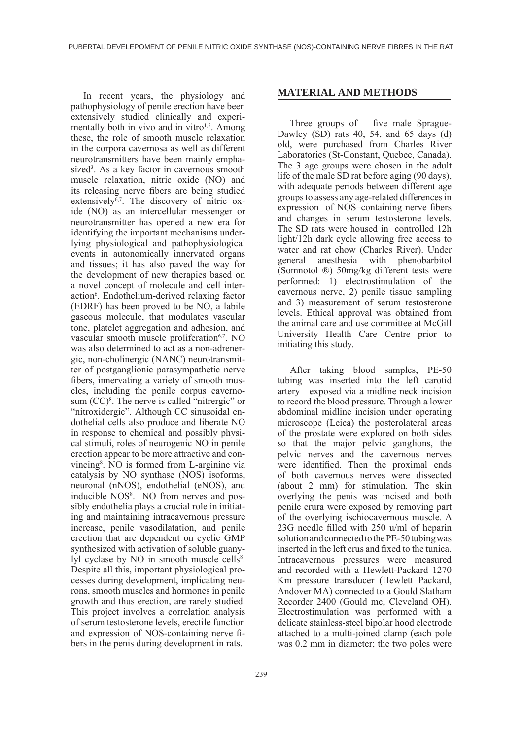In recent years, the physiology and pathophysiology of penile erection have been extensively studied clinically and experimentally both in vivo and in vitro<sup>1,5</sup>. Among these, the role of smooth muscle relaxation in the corpora cavernosa as well as different neurotransmitters have been mainly emphasized<sup>3</sup>. As a key factor in cavernous smooth muscle relaxation, nitric oxide (NO) and its releasing nerve fibers are being studied extensively $6,7$ . The discovery of nitric oxide (NO) as an intercellular messenger or neurotransmitter has opened a new era for identifying the important mechanisms underlying physiological and pathophysiological events in autonomically innervated organs and tissues; it has also paved the way for the development of new therapies based on a novel concept of molecule and cell interaction<sup>6</sup>. Endothelium-derived relaxing factor (EDRF) has been proved to be NO, a labile gaseous molecule, that modulates vascular tone, platelet aggregation and adhesion, and vascular smooth muscle proliferation<sup>6,7</sup>. NO was also determined to act as a non-adrenergic, non-cholinergic (NANC) neurotransmitter of postganglionic parasympathetic nerve fibers, innervating a variety of smooth muscles, including the penile corpus cavernosum  $(CC)^8$ . The nerve is called "nitrergic" or "nitroxidergic". Although CC sinusoidal endothelial cells also produce and liberate NO in response to chemical and possibly physical stimuli, roles of neurogenic NO in penile erection appear to be more attractive and convincing8 . NO is formed from L-arginine via catalysis by NO synthase (NOS) isoforms, neuronal (nNOS), endothelial (eNOS), and inducible NOS<sup>8</sup>. NO from nerves and possibly endothelia plays a crucial role in initiating and maintaining intracavernous pressure increase, penile vasodilatation, and penile erection that are dependent on cyclic GMP synthesized with activation of soluble guanylyl cyclase by NO in smooth muscle cells<sup>8</sup>. Despite all this, important physiological processes during development, implicating neurons, smooth muscles and hormones in penile growth and thus erection, are rarely studied. This project involves a correlation analysis of serum testosterone levels, erectile function and expression of NOS-containing nerve fibers in the penis during development in rats.

#### 239

#### **MATERIAL AND METHODS**

Three groups of five male Sprague-Dawley (SD) rats 40, 54, and 65 days (d) old, were purchased from Charles River Laboratories (St-Constant, Quebec, Canada). The 3 age groups were chosen in the adult life of the male SD rat before aging (90 days), with adequate periods between different age groups to assess any age-related differences in expression of NOS–containing nerve fibers and changes in serum testosterone levels. The SD rats were housed in controlled 12h light/12h dark cycle allowing free access to water and rat chow (Charles River). Under general anesthesia with phenobarbitol (Somnotol ®) 50mg/kg different tests were performed: 1) electrostimulation of the cavernous nerve, 2) penile tissue sampling and 3) measurement of serum testosterone levels. Ethical approval was obtained from the animal care and use committee at McGill University Health Care Centre prior to initiating this study.

After taking blood samples, PE-50 tubing was inserted into the left carotid artery exposed via a midline neck incision to record the blood pressure. Through a lower abdominal midline incision under operating microscope (Leica) the posterolateral areas of the prostate were explored on both sides so that the major pelvic ganglions, the pelvic nerves and the cavernous nerves were identified. Then the proximal ends of both cavernous nerves were dissected (about 2 mm) for stimulation. The skin overlying the penis was incised and both penile crura were exposed by removing part of the overlying ischiocavernous muscle. A 23G needle filled with 250 u/ml of heparin solution and connected to the PE-50 tubing was inserted in the left crus and fixed to the tunica. Intracavernous pressures were measured and recorded with a Hewlett-Packard 1270 Km pressure transducer (Hewlett Packard, Andover MA) connected to a Gould Slatham Recorder 2400 (Gould mc, Cleveland OH). Electrostimulation was performed with a delicate stainless-steel bipolar hood electrode attached to a multi-joined clamp (each pole was 0.2 mm in diameter; the two poles were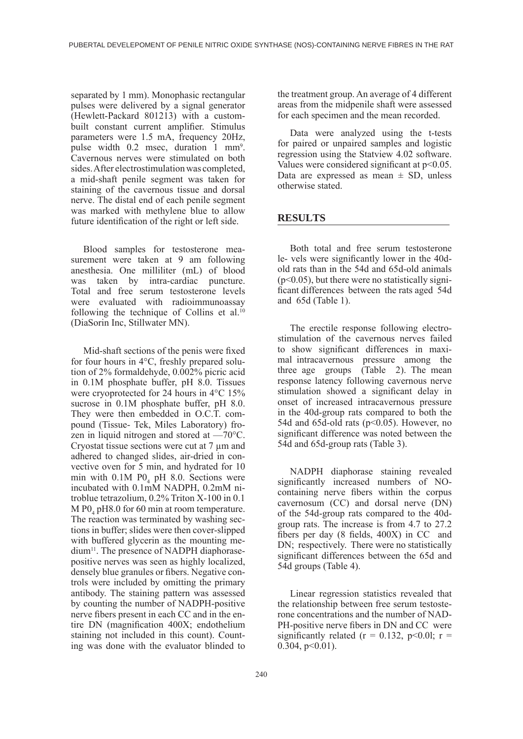separated by 1 mm). Monophasic rectangular pulses were delivered by a signal generator (Hewlett-Packard 801213) with a custombuilt constant current amplifier. Stimulus parameters were 1.5 mA, frequency 20Hz, pulse width 0.2 msec, duration 1 mm<sup>9</sup>. Cavernous nerves were stimulated on both sides. After electrostimulation was completed, a mid-shaft penile segment was taken for staining of the cavernous tissue and dorsal nerve. The distal end of each penile segment was marked with methylene blue to allow future identification of the right or left side.

Blood samples for testosterone measurement were taken at 9 am following anesthesia. One milliliter (mL) of blood was taken by intra-cardiac puncture. Total and free serum testosterone levels were evaluated with radioimmunoassay following the technique of Collins et al.<sup>10</sup> (DiaSorin Inc, Stillwater MN).

Mid-shaft sections of the penis were fixed for four hours in 4°C, freshly prepared solution of 2% formaldehyde, 0.002% picric acid in 0.1M phosphate buffer, pH 8.0. Tissues were cryoprotected for 24 hours in 4°C 15% sucrose in 0.1M phosphate buffer, pH 8.0. They were then embedded in O.C.T. compound (Tissue- Tek, Miles Laboratory) frozen in liquid nitrogen and stored at —70°C. Cryostat tissue sections were cut at 7 μm and adhered to changed slides, air-dried in convective oven for 5 min, and hydrated for 10 min with  $0.1M$  PO<sub>4</sub> pH 8.0. Sections were incubated with 0.1mM NADPH, 0.2mM nitroblue tetrazolium, 0.2% Triton X-100 in 0.1  $M$  PO<sub>4</sub> pH8.0 for 60 min at room temperature. The reaction was terminated by washing sections in buffer; slides were then cover-slipped with buffered glycerin as the mounting medium11. The presence of NADPH diaphorasepositive nerves was seen as highly localized, densely blue granules or fibers. Negative controls were included by omitting the primary antibody. The staining pattern was assessed by counting the number of NADPH-positive nerve fibers present in each CC and in the entire DN (magnification 400X; endothelium staining not included in this count). Counting was done with the evaluator blinded to

the treatment group. An average of 4 different areas from the midpenile shaft were assessed for each specimen and the mean recorded.

Data were analyzed using the t-tests for paired or unpaired samples and logistic regression using the Statview 4.02 software. Values were considered significant at p<0.05. Data are expressed as mean  $\pm$  SD, unless otherwise stated.

### **RESULTS**

Both total and free serum testosterone le- vels were significantly lower in the 40dold rats than in the 54d and 65d-old animals  $(p<0.05)$ , but there were no statistically significant differences between the rats aged 54d and 65d (Table 1).

The erectile response following electrostimulation of the cavernous nerves failed to show significant differences in maximal intracavernous pressure among the three age groups (Table 2). The mean response latency following cavernous nerve stimulation showed a significant delay in onset of increased intracavernous pressure in the 40d-group rats compared to both the 54d and 65d-old rats ( $p<0.05$ ). However, no significant difference was noted between the 54d and 65d-group rats (Table 3).

NADPH diaphorase staining revealed significantly increased numbers of NOcontaining nerve fibers within the corpus cavernosum (CC) and dorsal nerve (DN) of the 54d-group rats compared to the 40dgroup rats. The increase is from 4.7 to 27.2 fibers per day (8 fields, 400X) in CC and DN; respectively. There were no statistically significant differences between the 65d and 54d groups (Table 4).

Linear regression statistics revealed that the relationship between free serum testosterone concentrations and the number of NAD-PH-positive nerve fibers in DN and CC were significantly related ( $r = 0.132$ ,  $p < 0.01$ ;  $r =$  $0.304$ ,  $p<0.01$ ).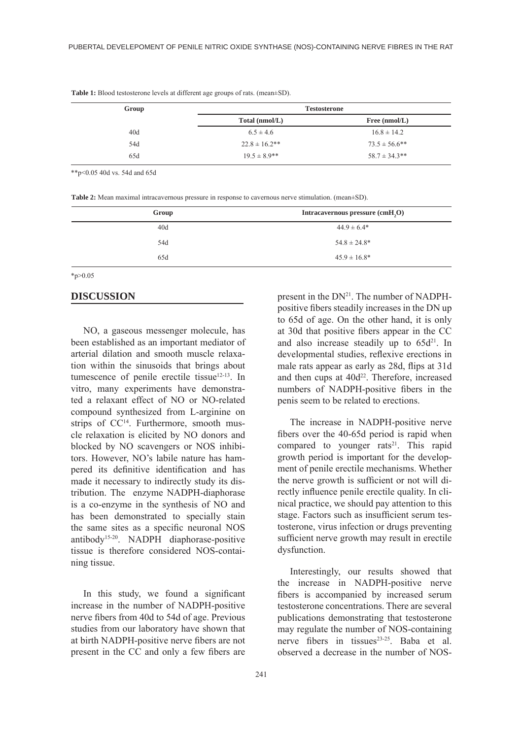| Group | <b>Testosterone</b> |                    |  |
|-------|---------------------|--------------------|--|
|       | Total (nmol/L)      | Free $(nmol/L)$    |  |
| 40d   | $6.5 \pm 4.6$       | $16.8 \pm 14.2$    |  |
| 54d   | $22.8 \pm 16.2$ **  | $73.5 \pm 56.6$ ** |  |
| 65d   | $19.5 \pm 8.9$ **   | $58.7 \pm 34.3**$  |  |

**Table 1:** Blood testosterone levels at different age groups of rats. (mean±SD).

\*\*p<0.05 40d vs. 54d and 65d

**Table 2:** Mean maximal intracavernous pressure in response to cavernous nerve stimulation. (mean±SD).

| Group | Intracavernous pressure (cmH,O) |
|-------|---------------------------------|
| 40d   | $44.9 \pm 6.4*$                 |
| 54d   | $54.8 \pm 24.8^*$               |
| 65d   | $45.9 \pm 16.8^*$               |

 $*_{p>0.05}$ 

#### **DISCUSSION**

NO, a gaseous messenger molecule, has been established as an important mediator of arterial dilation and smooth muscle relaxation within the sinusoids that brings about tumescence of penile erectile tissue<sup>12-13</sup>. In vitro, many experiments have demonstrated a relaxant effect of NO or NO-related compound synthesized from L-arginine on strips of CC<sup>14</sup>. Furthermore, smooth muscle relaxation is elicited by NO donors and blocked by NO scavengers or NOS inhibitors. However, NO's labile nature has hampered its definitive identification and has made it necessary to indirectly study its distribution. The enzyme NADPH-diaphorase is a co-enzyme in the synthesis of NO and has been demonstrated to specially stain the same sites as a specific neuronal NOS antibody15-20. NADPH diaphorase-positive tissue is therefore considered NOS-containing tissue.

In this study, we found a significant increase in the number of NADPH-positive nerve fibers from 40d to 54d of age. Previous studies from our laboratory have shown that at birth NADPH-positive nerve fibers are not present in the CC and only a few fibers are present in the  $DN^{21}$ . The number of NADPHpositive fibers steadily increases in the DN up to 65d of age. On the other hand, it is only at 30d that positive fibers appear in the CC and also increase steadily up to  $65d^{21}$ . In developmental studies, reflexive erections in male rats appear as early as 28d, flips at 31d and then cups at 40d<sup>22</sup>. Therefore, increased numbers of NADPH-positive fibers in the penis seem to be related to erections.

The increase in NADPH-positive nerve fibers over the 40-65d period is rapid when compared to younger rats<sup>21</sup>. This rapid growth period is important for the development of penile erectile mechanisms. Whether the nerve growth is sufficient or not will directly influence penile erectile quality. In clinical practice, we should pay attention to this stage. Factors such as insufficient serum testosterone, virus infection or drugs preventing sufficient nerve growth may result in erectile dysfunction.

Interestingly, our results showed that the increase in NADPH-positive nerve fibers is accompanied by increased serum testosterone concentrations. There are several publications demonstrating that testosterone may regulate the number of NOS-containing nerve fibers in tissues<sup>23-25</sup>. Baba et al. observed a decrease in the number of NOS-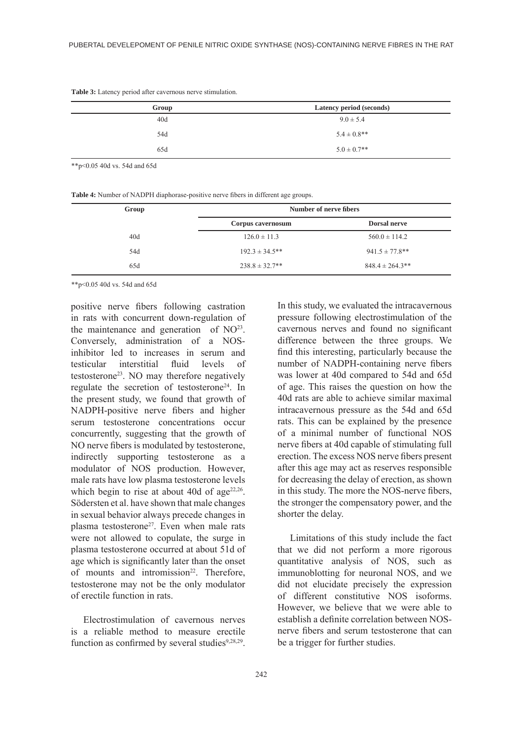| Group | Latency period (seconds) |
|-------|--------------------------|
| 40d   | $9.0 \pm 5.4$            |
| 54d   | $5.4 \pm 0.8$ **         |
| 65d   | $5.0 \pm 0.7$ **         |

**Table 3:** Latency period after cavernous nerve stimulation.

\*\*p<0.05 40d vs. 54d and 65d

**Table 4:** Number of NADPH diaphorase-positive nerve fibers in different age groups.

| Group | Number of nerve fibers |                      |
|-------|------------------------|----------------------|
|       | Corpus cavernosum      | <b>Dorsal nerve</b>  |
| 40d   | $126.0 \pm 11.3$       | $560.0 \pm 114.2$    |
| 54d   | $192.3 \pm 34.5$ **    | $941.5 \pm 77.8$ **  |
| 65d   | $238.8 \pm 32.7**$     | $848.4 \pm 264.3$ ** |

\*\*p<0.05 40d vs. 54d and 65d

positive nerve fibers following castration in rats with concurrent down-regulation of the maintenance and generation of  $NO<sup>23</sup>$ . Conversely, administration of a NOSinhibitor led to increases in serum and testicular interstitial fluid levels of testosterone<sup>23</sup>. NO may therefore negatively regulate the secretion of testosterone<sup>24</sup>. In the present study, we found that growth of NADPH-positive nerve fibers and higher serum testosterone concentrations occur concurrently, suggesting that the growth of NO nerve fibers is modulated by testosterone, indirectly supporting testosterone as a modulator of NOS production. However, male rats have low plasma testosterone levels which begin to rise at about 40d of  $age^{22,26}$ . Södersten et al. have shown that male changes in sexual behavior always precede changes in plasma testosterone<sup>27</sup>. Even when male rats were not allowed to copulate, the surge in plasma testosterone occurred at about 51d of age which is significantly later than the onset of mounts and intromission<sup>22</sup>. Therefore, testosterone may not be the only modulator of erectile function in rats.

Electrostimulation of cavernous nerves is a reliable method to measure erectile function as confirmed by several studies $9,28,29$ .

In this study, we evaluated the intracavernous pressure following electrostimulation of the cavernous nerves and found no significant difference between the three groups. We find this interesting, particularly because the number of NADPH-containing nerve fibers was lower at 40d compared to 54d and 65d of age. This raises the question on how the 40d rats are able to achieve similar maximal intracavernous pressure as the 54d and 65d rats. This can be explained by the presence of a minimal number of functional NOS nerve fibers at 40d capable of stimulating full erection. The excess NOS nerve fibers present after this age may act as reserves responsible for decreasing the delay of erection, as shown in this study. The more the NOS-nerve fibers, the stronger the compensatory power, and the shorter the delay.

Limitations of this study include the fact that we did not perform a more rigorous quantitative analysis of NOS, such as immunoblotting for neuronal NOS, and we did not elucidate precisely the expression of different constitutive NOS isoforms. However, we believe that we were able to establish a definite correlation between NOSnerve fibers and serum testosterone that can be a trigger for further studies.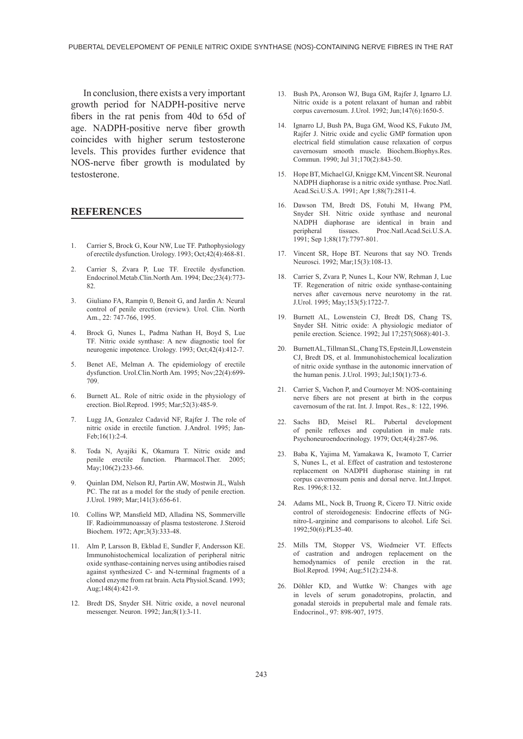In conclusion, there exists a very important growth period for NADPH-positive nerve fibers in the rat penis from 40d to 65d of age. NADPH-positive nerve fiber growth coincides with higher serum testosterone levels. This provides further evidence that NOS-nerve fiber growth is modulated by testosterone.

### **REFERENCES**

- 1. Carrier S, Brock G, Kour NW, Lue TF. Pathophysiology of erectile dysfunction. Urology. 1993; Oct;42(4):468-81.
- 2. Carrier S, Zvara P, Lue TF. Erectile dysfunction. Endocrinol.Metab.Clin.North Am. 1994; Dec;23(4):773- 82
- 3. Giuliano FA, Rampin 0, Benoit G, and Jardin A: Neural control of penile erection (review). Urol. Clin. North Am., 22: 747-766, 1995.
- 4. Brock G, Nunes L, Padma Nathan H, Boyd S, Lue TF. Nitric oxide synthase: A new diagnostic tool for neurogenic impotence. Urology. 1993; Oct;42(4):412-7.
- 5. Benet AE, Melman A. The epidemiology of erectile dysfunction. Urol.Clin.North Am. 1995; Nov;22(4):699- 709.
- 6. Burnett AL. Role of nitric oxide in the physiology of erection. Biol.Reprod. 1995; Mar;52(3):485-9.
- 7. Lugg JA, Gonzalez Cadavid NF, Rajfer J. The role of nitric oxide in erectile function. J.Androl. 1995; Jan-Feb;16(1):2-4.
- 8. Toda N, Ayajiki K, Okamura T. Nitric oxide and penile erectile function. Pharmacol.Ther. 2005; May;106(2):233-66.
- 9. Quinlan DM, Nelson RJ, Partin AW, Mostwin JL, Walsh PC. The rat as a model for the study of penile erection. J.Urol. 1989; Mar;141(3):656-61.
- 10. Collins WP, Mansfield MD, Alladina NS, Sommerville IF. Radioimmunoassay of plasma testosterone. J.Steroid Biochem. 1972; Apr;3(3):333-48.
- 11. Alm P, Larsson B, Ekblad E, Sundler F, Andersson KE. Immunohistochemical localization of peripheral nitric oxide synthase-containing nerves using antibodies raised against synthesized C- and N-terminal fragments of a cloned enzyme from rat brain. Acta Physiol.Scand. 1993; Aug;148(4):421-9.
- 12. Bredt DS, Snyder SH. Nitric oxide, a novel neuronal messenger. Neuron. 1992; Jan;8(1):3-11.
- 13. Bush PA, Aronson WJ, Buga GM, Rajfer J, Ignarro LJ. Nitric oxide is a potent relaxant of human and rabbit corpus cavernosum. J.Urol. 1992; Jun;147(6):1650-5.
- 14. Ignarro LJ, Bush PA, Buga GM, Wood KS, Fukuto JM, Rajfer J. Nitric oxide and cyclic GMP formation upon electrical field stimulation cause relaxation of corpus cavernosum smooth muscle. Biochem.Biophys.Res. Commun. 1990; Jul 31;170(2):843-50.
- 15. Hope BT, Michael GJ, Knigge KM, Vincent SR. Neuronal NADPH diaphorase is a nitric oxide synthase. Proc.Natl. Acad.Sci.U.S.A. 1991; Apr 1;88(7):2811-4.
- 16. Dawson TM, Bredt DS, Fotuhi M, Hwang PM, Snyder SH. Nitric oxide synthase and neuronal NADPH diaphorase are identical in brain and peripheral tissues. Proc.Natl.Acad.Sci.U.S.A. 1991; Sep 1;88(17):7797-801.
- 17. Vincent SR, Hope BT. Neurons that say NO. Trends Neurosci. 1992; Mar;15(3):108-13.
- 18. Carrier S, Zvara P, Nunes L, Kour NW, Rehman J, Lue TF. Regeneration of nitric oxide synthase-containing nerves after cavernous nerve neurotomy in the rat. J.Urol. 1995; May;153(5):1722-7.
- 19. Burnett AL, Lowenstein CJ, Bredt DS, Chang TS, Snyder SH. Nitric oxide: A physiologic mediator of penile erection. Science. 1992; Jul 17;257(5068):401-3.
- 20. Burnett AL, Tillman SL, Chang TS, Epstein JI, Lowenstein CJ, Bredt DS, et al. Immunohistochemical localization of nitric oxide synthase in the autonomic innervation of the human penis. J.Urol. 1993; Jul;150(1):73-6.
- 21. Carrier S, Vachon P, and Cournoyer M: NOS-containing nerve fibers are not present at birth in the corpus cavernosum of the rat. Int. J. Impot. Res., 8: 122, 1996.
- 22. Sachs BD, Meisel RL. Pubertal development of penile reflexes and copulation in male rats. Psychoneuroendocrinology. 1979; Oct;4(4):287-96.
- 23. Baba K, Yajima M, Yamakawa K, Iwamoto T, Carrier S, Nunes L, et al. Effect of castration and testosterone replacement on NADPH diaphorase staining in rat corpus cavernosum penis and dorsal nerve. Int.J.Impot. Res. 1996;8:132.
- 24. Adams ML, Nock B, Truong R, Cicero TJ. Nitric oxide control of steroidogenesis: Endocrine effects of NGnitro-L-arginine and comparisons to alcohol. Life Sci. 1992;50(6):PL35-40.
- 25. Mills TM, Stopper VS, Wiedmeier VT. Effects of castration and androgen replacement on the hemodynamics of penile erection in the rat. Biol.Reprod. 1994; Aug;51(2):234-8.
- 26. Döhler KD, and Wuttke W: Changes with age in levels of serum gonadotropins, prolactin, and gonadal steroids in prepubertal male and female rats. Endocrinol., 97: 898-907, 1975.